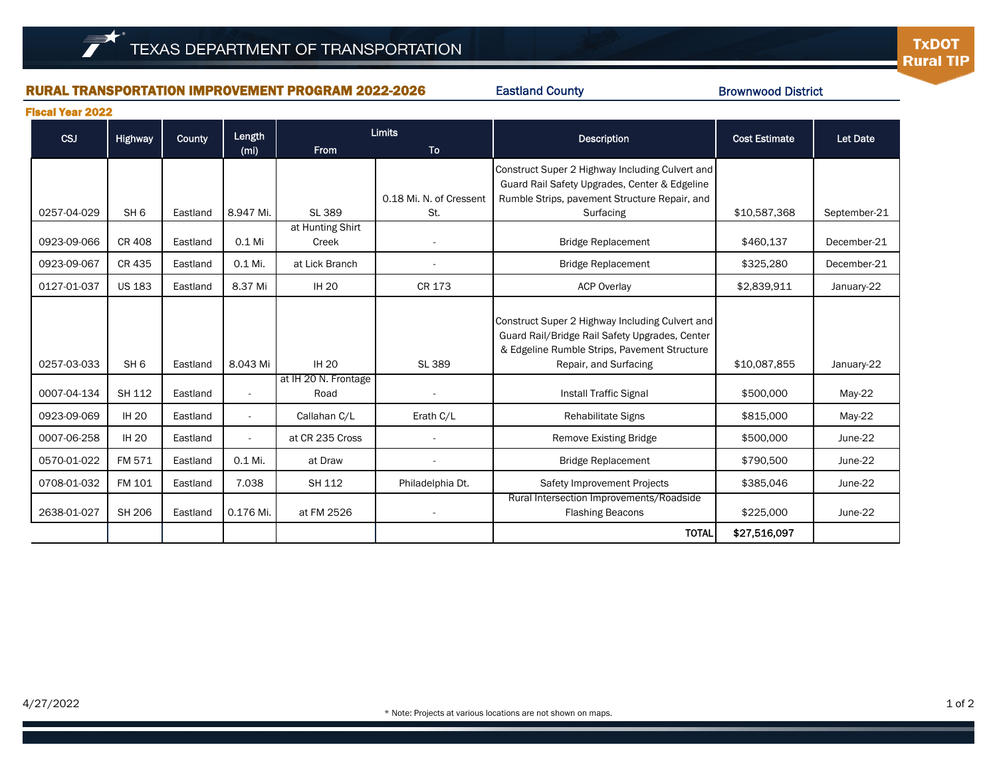#### RURAL TRANSPORTATION IMPROVEMENT PROGRAM 2022-2026

Eastland County

Brownwood District

Fiscal Year 2022

| <b>CSJ</b>  | <b>Highway</b>  | County   | Length                   | <b>Limits</b>                |                          | <b>Description</b>                                                                                                                                                         | <b>Cost Estimate</b> | <b>Let Date</b> |
|-------------|-----------------|----------|--------------------------|------------------------------|--------------------------|----------------------------------------------------------------------------------------------------------------------------------------------------------------------------|----------------------|-----------------|
|             |                 |          | (m <sub>i</sub> )        | <b>From</b>                  | <b>To</b>                |                                                                                                                                                                            |                      |                 |
|             |                 |          |                          |                              | 0.18 Mi. N. of Cressent  | Construct Super 2 Highway Including Culvert and<br>Guard Rail Safety Upgrades, Center & Edgeline<br>Rumble Strips, pavement Structure Repair, and                          |                      |                 |
| 0257-04-029 | SH <sub>6</sub> | Eastland | 8.947 Mi.                | SL 389                       | St.                      | Surfacing                                                                                                                                                                  | \$10,587,368         | September-21    |
| 0923-09-066 | <b>CR408</b>    | Eastland | $0.1$ Mi                 | at Hunting Shirt<br>Creek    |                          | <b>Bridge Replacement</b>                                                                                                                                                  | \$460,137            | December-21     |
| 0923-09-067 | CR 435          | Eastland | 0.1 Mi.                  | at Lick Branch               |                          | <b>Bridge Replacement</b>                                                                                                                                                  | \$325,280            | December-21     |
| 0127-01-037 | <b>US 183</b>   | Eastland | 8.37 Mi                  | <b>IH 20</b>                 | CR 173                   | <b>ACP Overlay</b>                                                                                                                                                         | \$2,839,911          | January-22      |
| 0257-03-033 | SH <sub>6</sub> | Eastland | 8.043 Mi                 | <b>IH 20</b>                 | SL 389                   | Construct Super 2 Highway Including Culvert and<br>Guard Rail/Bridge Rail Safety Upgrades, Center<br>& Edgeline Rumble Strips, Pavement Structure<br>Repair, and Surfacing | \$10,087,855         | January-22      |
| 0007-04-134 | SH 112          | Eastland | $\overline{\phantom{a}}$ | at IH 20 N. Frontage<br>Road | $\overline{\phantom{a}}$ | <b>Install Traffic Signal</b>                                                                                                                                              | \$500,000            | $May-22$        |
| 0923-09-069 | <b>IH 20</b>    | Eastland | $\overline{\phantom{a}}$ | Callahan C/L                 | Erath C/L                | Rehabilitate Signs                                                                                                                                                         | \$815,000            | $May-22$        |
| 0007-06-258 | <b>IH 20</b>    | Eastland |                          | at CR 235 Cross              |                          | <b>Remove Existing Bridge</b>                                                                                                                                              | \$500,000            | June-22         |
| 0570-01-022 | FM 571          | Eastland | 0.1 Mi.                  | at Draw                      | $\overline{\phantom{a}}$ | <b>Bridge Replacement</b>                                                                                                                                                  | \$790,500            | June-22         |
| 0708-01-032 | FM 101          | Eastland | 7.038                    | <b>SH 112</b>                | Philadelphia Dt.         | Safety Improvement Projects                                                                                                                                                | \$385,046            | June-22         |
| 2638-01-027 | SH 206          | Eastland | 0.176 Mi.                | at FM 2526                   |                          | Rural Intersection Improvements/Roadside<br><b>Flashing Beacons</b>                                                                                                        | \$225,000            | June-22         |
|             |                 |          |                          |                              |                          | <b>TOTAL</b>                                                                                                                                                               | \$27,516,097         |                 |

1 of 2

**TxDOT** 

**Rural TIP**